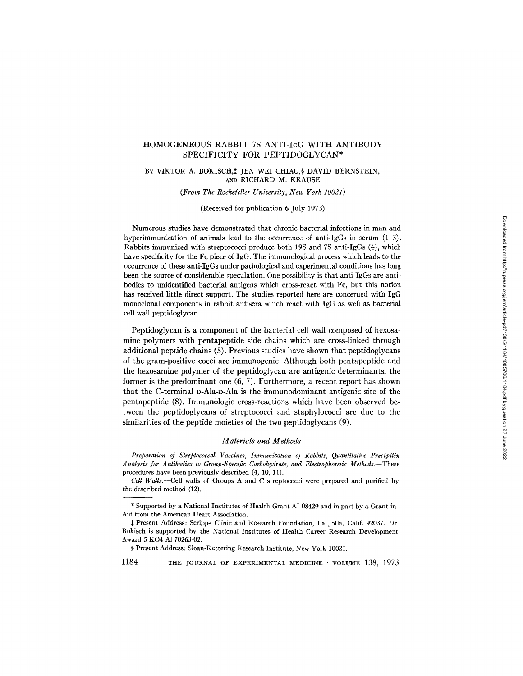# HOMOGENEOUS RABBIT 7S ANTI-IGG WITH ANTIBODY SPECIFICITY FOR PEPTIDOGLYCAN\*

#### BY VIKTOR A. BOKISCH,# JEN WEI CHIAO, § DAVID BERNSTEIN, AND RICHARD M. KRAUSE

*(From The Rockefeller University, New York 10021)* 

(Received for publication 6 July 1973)

Numerous studies have demonstrated that chronic bacterial infections in man and hyperimmunization of animals lead to the occurrence of anti-IgGs in serum  $(1-3)$ . Rabbits immunized with streptococci produce both 19S and 7S anti-IgGs (4), which have specificity for the Fc piece of IgG. The immunological process which leads to the occurrence of these anti-IgGs under pathological and experimental conditions has long been the source of considerable speculation. One possibility is that anti-IgGs are antibodies to unidentified bacterial antigens which cross-react with Fc, but this notion has received little direct support. The studies reported here are concerned with IgG monoclonal components in rabbit antisera which react with IgG as well as bacterial cell wall peptidoglycan.

Peptidoglycan is a component of the bacterial cell wall composed of hexosamine polymers with pentapeptide side chains which are cross-linked through additional peptide chains (5). Previous studies have shown that peptidoglycans of the gram-positive cocci are immunogenic. Although both pentapeptide and the hexosamine polymer of the peptidoglycan are antigenic determinants, the former is the predominant one (6, 7). Furthermore, a recent report has shown that the C-terminal D-Ala-D-AIa is the immunodominant antigenic site of the pentapeptide (8). Immunologic cross-reactions which have been observed between the peptidoglycans of streptococci and staphylococci are due to the similarities of the peptide moieties of the two peptidoglycans (9).

## *Materials and Methods*

*Preparation of Streptococcal Vaccines, Immunization of Rabbits, Quantitative Precipitin Analysis for Antibodies to Group-Specific Carbohydrate, and Electrophoretie Methods.--These*  procedures have been previously described *(4,* 10, 11).

§ Present Address: Sloan-Kettering Research Institute, New York 10021.

*Cell Walls.--Cell* walls of Groups A and C streptococci were prepared and purified by the described method (12).

<sup>\*</sup> Supported by a National Institutes of Health Grant AI 08429 and in part by a Grant-in-Aid from the American Heart Association.

<sup>~/</sup>Present Address: Scripps Clinic and Research Foundation, La Jo]la, Calif. 92037. Dr. Bokisch is supported by the National Institutes of Health Career Research Development Award 5 KO4 A1 70263-02.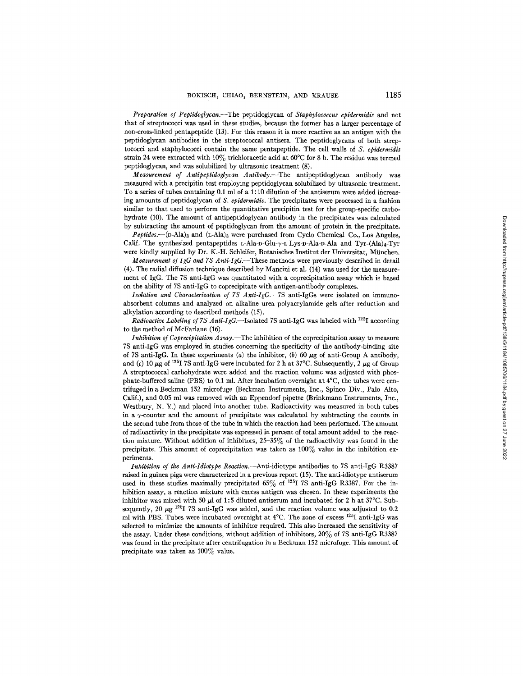*Preparation of Peptidoglycan.--The* peptidoglycan of *Staphylococcus epidermidis* and not that of streptococci was used in these studies, because the former has a larger percentage of non-cross-linked pentapeptide (13). For this reason it is more reactive as an antigen with the peptidoglycan antibodies in the streptococcal antisera. The peptidoglycans of both streptococci and staphylococci contain the same pentapeptide. The cell walls of *S. epidermidis*  strain 24 were extracted with  $10\%$  trichloracetic acid at  $60^{\circ}$ C for 8 h. The residue was termed peptidoglycan, and was solubilized by ultrasonic treatment (8).

*Measurement of Antipeptidoglycan Antibody.--The* antipeptidoglycan antibody was measured with a preeipitin test employing peptidoglycan solubilized by ultrasonic treatment. To a series of tubes containing  $0.1$  ml of a 1:10 dilution of the antiserum were added increasing amounts of peptidoglycan of *S. epldermidis.* The precipitates were processed in a fashion similar to that used to perform the quantitative precipitin test for the group-specific carbohydrate (10). The amount of antipeptidoglycan antibody in the precipitates was calculated by subtracting the amount of peptidoglycan from the amount of protein in the precipitate.

*Peptides.*--(p-Ala)<sub>8</sub> and (L-Ala)<sub>8</sub> were purchased from Cyclo Chemical Co., Los Angeles, Calif. The synthesized pentapeptides L-Ala-D-Glu- $\gamma$ -L-Lys-D-Ala-D-Ala and Tyr-(Ala)4-Tyr were kindly supplied by Dr. K.-H. Schleifer, Botanisches Insfitut der Universitat, Miinchen.

*Measurement of IgG and 7S Anti-IgG.--These* methods were previously described in detail (4). The radial diffusion technique described by Mancini et ai. (14) was used for the measurement of IgG. The 7S anti-IgG was quantitated with a coprecipitation assay which is based on the ability of 7S anti-IgG to copreeipitate with antigen-antibody complexes.

*Isolation and Characterization of 7S Anti-IgG.--TS* anti-IgGs were isolated on immunoabsorbent columns and analyzed on alkaline urea polyacrylamide gels after reduction and alkylation according to described methods (15).

*Radioactive Labeling of 7S Anti-IgG.*—Isolated 7S anti-IgG was labeled with <sup>125</sup>I according to the method of McFarlane (16).

*Inhibition of Coprecipitation Assay.*—The inhibition of the coprecipitation assay to measure 7S anti-IgG was employed in studies concerning the specificity of the antibody-binding site of 7S anti-IgG. In these experiments (a) the inhibitor, (b) 60  $\mu$ g of anti-Group A antibody, and (c) 10  $\mu$ g of <sup>125</sup>I 7S anti-IgG were incubated for 2 h at 37°C. Subsequently, 2  $\mu$ g of Group A streptococcal carbohydrate were added and the reaction volume was adjusted with phosphate-buffered saline (PBS) to 0.1 ml. After incubation overnight at 4°C, the tubes were centrifuged in a Beckman 152 microfuge (Beckman Instruments, Inc., Spinco Div., Palo Alto, Calif.), and 0.05 ml was removed with an Eppendorf pipette (Brinkmann Instruments, Inc., Westbury, N. Y.) and placed into another tube. Radioactivity was measured in both tubes in a  $\gamma$ -counter and the amount of precipitate was calculated by subtracting the counts in the second tube from those of the tube in which the reaction had been performed. The amount of radioactivity in the precipitate was expressed in percent of total amount added to the reaction mixture. Without addition of inhibitors, 25-35% of the radioactivity was found in the precipitate. This amount of coprecipitation was taken as  $100\%$  value in the inhibition experiments.

*Inhibition of the Anti-Idiotype Reaction.--Anti-idiotype* antibodies to 7S anti-IgG R3387 raised in guinea pigs were characterized in a previous report (15). The anti-idiotype antiserum used in these studies maximally precipitated  $65\%$  of <sup>125</sup>I 7S anti-IgG R3387. For the inhibition assay, a reaction mixture with excess antigen was chosen. In these experiments the inhibitor was mixed with 50  $\mu$ l of 1:5 diluted antiserum and incubated for 2 h at 37°C. Subsequently, 20  $\mu$ g <sup>125</sup>I 7S anti-IgG was added, and the reaction volume was adjusted to 0.2 ml with PBS. Tubes were incubated overnight at 4°C. The zone of excess <sup>125</sup>I anti-IgG was selected to minimize the amounts of inhibitor required. This also increased the sensitivity of the assay. Under these conditions, without addition of inhibitors, 20% of 7S anti-IgG R3387 was found in the precipitate after centrifugation in a Beckman 152 microfuge. This amount of precipitate was taken as  $100\%$  value.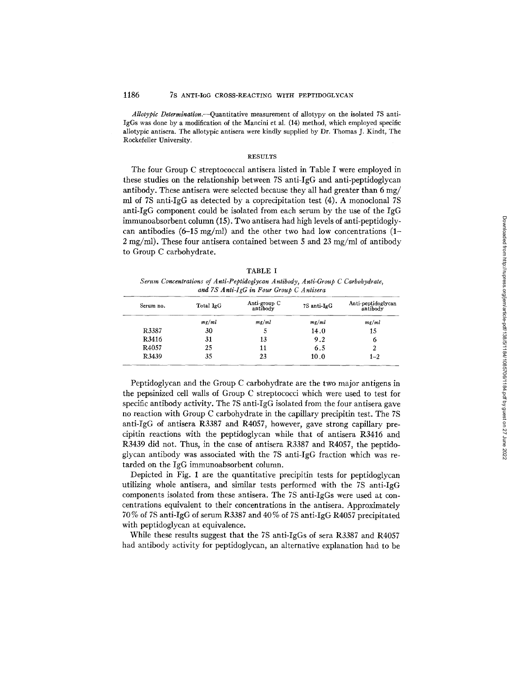*Allotypic Determination.*---Quantitative measurement of allotypy on the isolated 7S anti-IgGs was done by a modification of the Mancini et al. (14) method, which employed specific allotypic antisera. The allotypic antisera were kindly supplied by Dr. Thomas J. Kindt, The Rockefeller University.

#### RESULTS

The four Group C streptococcal antisera listed in Table I were employed in these studies on the relationship between 7S anti-IgG and anti-peptidoglycan antibody. These antisera were selected because they all had greater than  $6 \text{ mg}/$ ml of 7S anti-IgG as detected by a coprecipitation test (4). A monoclonal 7S anti-IgG component could be isolated from each serum by the use of the IgG immunoabsorbent column (15). Two antisera had high levels of anti-peptidoglycan antibodies  $(6-15 \text{ mg/ml})$  and the other two had low concentrations  $(1-$ 2 mg/ml). These four antisera contained between 5 and 23 mg/ml of antibody to Group C carbohydrate.

TABLE I *Serum Concentrations of Anti-Peptidoglycan Antibody, Anti-Group C Carbohydrate, and 7S Anti-IgG in Four Group C Antisera* 

| Serum no. | Total IgG | Anti-group C<br>antibody | 7S anti-IgG | Anti-peptidoglycan<br>antibody |
|-----------|-----------|--------------------------|-------------|--------------------------------|
|           | mg/ml     | mg/ml                    | mg/ml       | $m$ g/ml                       |
| R3387     | 30        | C                        | 14.0        | 15                             |
| R3416     | 31        | 13                       | 9.2         | 6                              |
| R4057     | 25        | 11                       | 6.5         |                                |
| R3439     | 35        | 23                       | 10.0        | $1 - 2$                        |

Peptidoglycan and the Group C carbohydrate are the two major antigens in the pepsinized cell walls of Group C streptococci which were used to test for specific antibody activity. The 7S anti-IgG isolated from the four antisera gave no reaction with Group C carbohydrate in the capillary precipitin test. The 7S anti-IgG of antisera R3387 and R4057, however, gave strong capillary precipitin reactions with the peptidoglycan while that of antisera R3416 and R3439 did not. Thus, in the case of antisera R3387 and R4057, the peptidoglycan antibody was associated with the 7S anti-IgG fraction which was retarded on the IgG immunoabsorbent column.

Depicted in Fig. 1 are the quantitative precipitin tests for peptidoglycan utilizing whole antisera, and similar tests performed with the 7S anti-IgG components isolated from these antisera. The 7S anti-IgGs were used at concentrations equivalent to their concentrations in the antisera. Approximately 70 % of 7S anti-IgG of serum R3387 and 40 % of 7S anti-IgG R4057 precipitated with peptidoglycan at equivalence.

While these results suggest that the 7S anti-IgGs of sera R3387 and R4057 had antibody activity for peptidoglycan, an alternative explanation had to be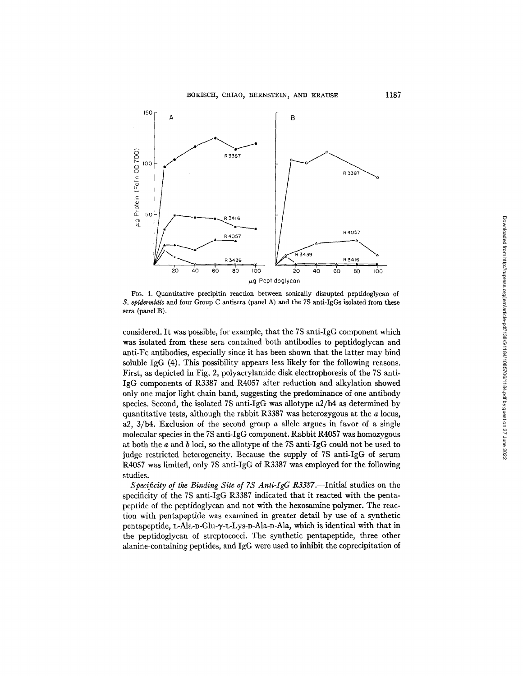

FIG. 1. Quantitative precipitin reaction between sonically disrupted peptidoglycan of *S. epidermidis* and four Group C antisera (panel A) and the 7S anti-IgGs isolated from these sera (panel B).

considered. It was possible, for example, that the 7S anti-IgG component which was isolated from these sera contained both antibodies to peptidoglycan and anti-Fc antibodies, especially since it has been shown that the latter may bind soluble IgG (4). This possibility appears less likely for the following reasons. First, as depicted in Fig. 2, polyacrylamide disk electrophoresis of the 7S anti-IgG components of R3387 and R4057 after reduction and alkylation showed only one major light chain band, suggesting the predominance of one antibody species. Second, the isolated 7S anfi-IgG was allotype a2/b4 as determined by quantitative tests, although the rabbit R3387 was heterozygous at the  $a$  locus, a2,  $3/b4$ . Exclusion of the second group a allele argues in favor of a single molecular species in the 7S anti-IgG component. Rabbit R4057 was homozygous at both the a and b loci, so the allotype of the 7S anti-IgG could not be used to judge restricted heterogeneity. Because the supply of 7S anti-IgG of serum R4057 was limited, only 7S anti-IgG of R3387 was employed for the following studies.

*Specificity of the Binding Site of 7S Anti-IgG R3387.--Initial* studies on the specificity of the 7S anti-IgG R3387 indicated that it reacted with the pentapeptide of the peptidoglycan and not with the hexosamine polymer. The reaction with pentapeptide was examined in greater detail by use of a synthetic pentapeptide, L-Ala-D-Glu- $\gamma$ -L-Lys-D-Ala-D-Ala, which is identical with that in the peptidoglycan of streptococci. The synthetic pentapepfide, three other alanine-containing peptides, and IgG were used to inhibit the coprecipitation of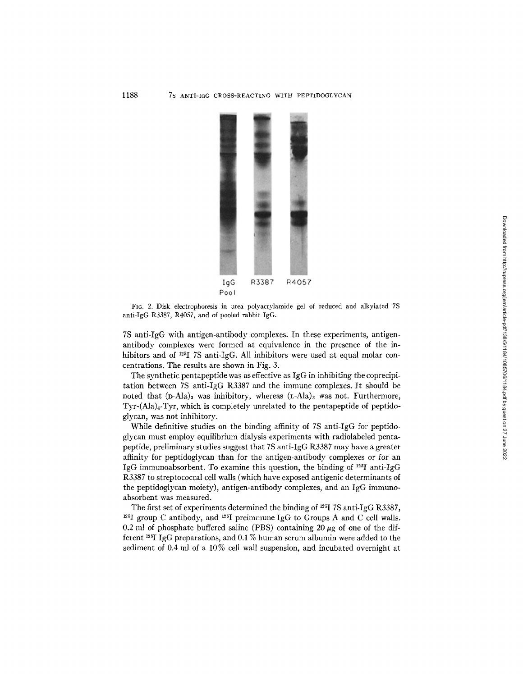

FIG. 2. Disk electrophoresis in urea polyacrylamide gel of reduced and alkylated 7S anti-IgG R3387, R4057, and of pooled rabbit IgG.

7S anti-IgG with antigen-antibody complexes. In these experiments, antigenantibody complexes were formed at equivalence in the presence of the inhibitors and of  $^{125}I$  7S anti-IgG. All inhibitors were used at equal molar concentrations. The results are shown in Fig. 3.

The synthetic pentapeptide was as effective as IgG in inhibiting the coprecipitation between 7S anti-IgG R3387 and the immune complexes. It should be noted that  $(D-Ala)_3$  was inhibitory, whereas  $(L-Ala)_3$  was not. Furthermore,  $Tyr-(\text{Ala})_4$ -Tyr, which is completely unrelated to the pentapeptide of peptidoglycan, was not inhibitory.

While definitive studies on the binding affinity of 7S anti-IgG for peptidoglycan must employ equilibrium dialysis experiments with radiolabeled pentapeptide, preliminary studies suggest that 7S anti-IgG R3387 may have a greater affinity for peptidoglycan than for the antigen-antibody complexes or for an IgG immunoabsorbent. To examine this question, the binding of  $^{125}I$  anti-IgG R3387 to streptococcal cell walls (which have exposed antigenic determinants of the peptidoglycan moiety), antigen-antibody complexes, and an IgG immunoabsorbent was measured.

The first set of experiments determined the binding of <sup>125</sup>I 7S anti-IgG R3387, <sup>125</sup>I group C antibody, and <sup>125</sup>I preimmune IgG to Groups A and C cell walls. 0.2 ml of phosphate buffered saline (PBS) containing 20  $\mu$ g of one of the different <sup>125</sup>I IgG preparations, and 0.1% human serum albumin were added to the sediment of 0.4 ml of a 10% cell wall suspension, and incubated overnight at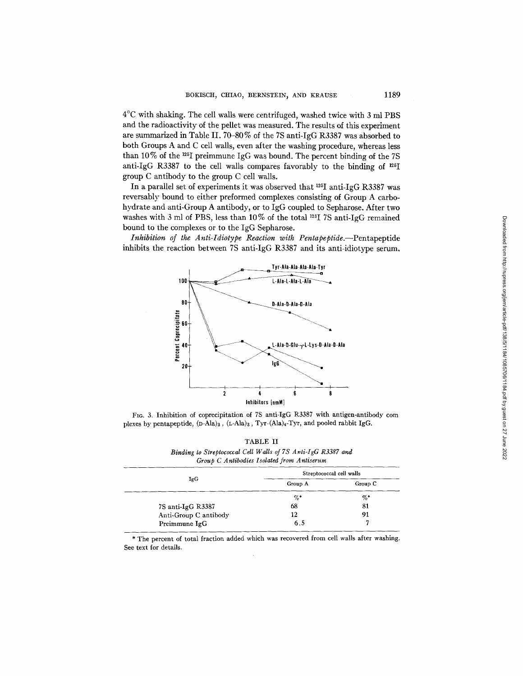4°C with shaking. The cell walls were centrifuged, washed twice with 3 ml PBS and the radioactivity of the pellet was measured. The results of this experiment are summarized in Table II. 70-80% of the 7S anti-IgG R3387 was absorbed to both Groups A and C cell walls, even after the washing procedure, whereas less than 10% of the <sup>125</sup>I preimmune IgG was bound. The percent binding of the 7S anti-IgG R3387 to the cell walls compares favorably to the binding of '25I group C antibody to the group C cell walls.

In a parallel set of experiments it was observed that 125I anfi-IgG R3387 was reversably bound to either preformed complexes consisting of Group A carbohydrate and anti-Group A antibody, or to IgG coupled to Sepharose. After two washes with 3 ml of PBS, less than 10% of the total '25I 7S anti-IgG remained bound to the complexes or to the IgG Sepharose.

*Inhibition of the Anti-Idiotype Reaction with Pentapeptide* ---Pentapeptide inhibits the reaction between 7S anti-IgG R3387 and its anti-idiotype serum.



FIG. 3. Inhibition of coprecipitation of 7S anti-IgG R3387 with antigen-antibody com plexes by pentapeptide,  $(D-Ala)_3$ ,  $(L-Ala)_3$ , Tyr- $(Ala)_4$ -Tyr, and pooled rabbit IgG.

TABLE II Binding to Streptococcal Cell Walls of 7S Anti-IgG R3387 and *Group C Antibodies Isolated from Antiserum* 

|                       | Streptococcal cell walls |         |  |
|-----------------------|--------------------------|---------|--|
| IgG                   | Group A                  | Group C |  |
|                       | $\%$                     | $\%$ *  |  |
| 7S anti-IgG R3387     | 68                       | 81      |  |
| Anti-Group C antibody | 12                       | 91      |  |
| Preimmune IgG         | 6.5                      |         |  |

\* The percent of total fraction added which was recovered from cell walls after washing. See text for details.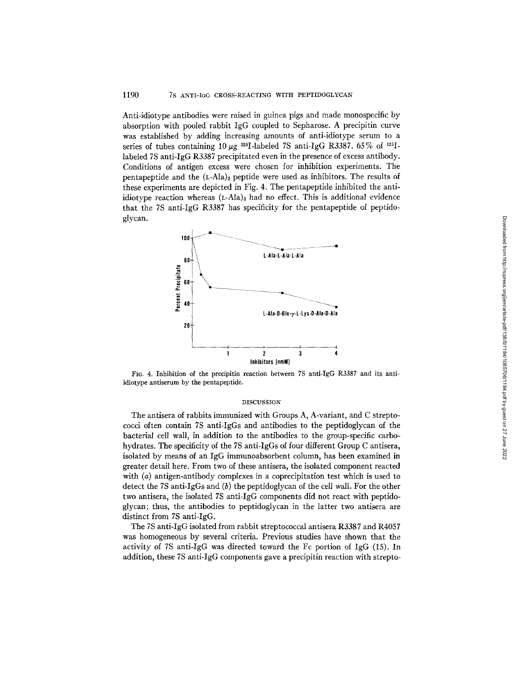#### 1190 7S ANTI-IGG CROSS-REACTING WITH PEPTIDOGLYCAN

Anti-idiotype antibodies were raised in guinea pigs and made monospecific by absorption with pooled rabbit IgG coupled to Sepharose. A precipitin curve was established by adding increasing amounts of anti-idiotype serum to a series of tubes containing 10  $\mu$ g <sup>125</sup>I-labeled 7S anti-IgG R3387. 65% of <sup>125</sup>Ilabeled 7S anti-IgG R3387 precipitated even in the presence of excess antibody. Conditions of antigen excess were chosen for inhibition experiments. The pentapeptide and the  $(L-Ala)$ <sub>3</sub> peptide were used as inhibitors. The results of these experiments are depicted in Fig. 4. The pentapeptide inhibited the antiidiotype reaction whereas  $(L-Ala)$ <sub>3</sub> had no effect. This is additional evidence that the 7S anti-IgG R3387 has specificity for the pentapeptide of peptidoglycan.



Fro. 4. Inhibition of the precipitin reaction between 7S anti-IgG R3387 and its antiidiotype antiserum by the pentapeptide.

### DISCUSSION

The antisera of rabbits immunized with Groups A, A-variant, and C streptococci often contain 7S anti-IgGs and antibodies to the peptidoglycan of the bacterial cell wall, in addition to the antibodies to the group-specific carbohydrates. The specificity of the 7S anti-IgGs of four different Group C antisera, isolated by means of an IgG immunoabsorbent column, has been examined in greater detail here. From two of these antisera, the isolated component reacted with (a) antigen-antibody complexes in a coprecipitation test which is used to detect the 7S anti-IgGs and (b) the peptidoglycan of the cell wall. For the other two antisera, the isolated 7S anti-IgG components did not react with peptidoglycan; thus, the antibodies to peptidoglycan in the latter two antisera are distinct from 7S anti-IgG.

The 7S anti-IgG isolated from rabbit streptococcal antisera *R3387* and R4057 was homogeneous by several criteria. Previous studies have shown that the activity of 7S anti-IgG was directed toward the Fc portion of IgG (15). In addition, these 7S anti-IgG components gave a precipitin reaction with strepto-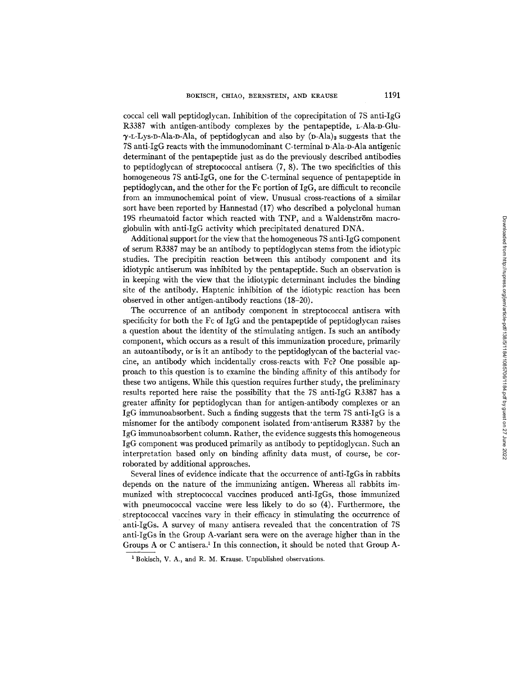coccal cell wall peptidoglycan. Inhibition of the coprecipitation of 7S anti-IgG R3387 with antigen-antibody complexes by the pentapeptide, L-Ala-D-Glu- $\gamma$ -L-Lys-D-Ala-D-Ala, of peptidoglycan and also by (D-Ala), suggests that the 7S anti-IgG reacts with the immunodominant C-terminal D-Ala-D-Ala antigenic determinant of the pentapeptide just as do the previously described antibodies to peptidoglycan of streptococcal antisera (7, 8). The two specificities of this homogeneous 7S anti-IgG, one for the C-terminal sequence of pentapeptide in peptidoglycan, and the other for the Fc portion of IgG, are difficult to reconcile from an immunochemical point of view. Unusual cross-reactions of a similar sort have been reported by Hannestad (17) who described a polyclonal human 19S rheumatoid factor which reacted with TNP, and a Waldenström macroglobulin with anti-IgG activity which precipitated denatured DNA.

Additional support for the view that the homogeneous 7S anti-IgG component of serum R3387 may be an antibody to peptidoglycan stems from the idiotypic studies. The precipitin reaction between this antibody component and its idiotypic antiserum was inhibited by the pentapeptide. Such an observation is in keeping with the view that the idiotypic determinant includes the binding site of the antibody. Haptenic inhibition of the idiotypic reaction has been observed in other antigen-antibody reactions (18-20).

The occurrence of an antibody component in streptococcal antisera with specificity for both the Fc of IgG and the pentapeptide of peptidoglycan raises a question about the identity of the stimulating antigen. Is such an antibody component, which occurs as a result of this immunization procedure, primarily an autoantibody, or is it an antibody to the peptidoglycan of the bacterial vaccine, an antibody which incidentally cross-reacts with Fc? One possible approach to this question is to examine the binding affinity of this antibody for these two antigens. While this question requires further study, the preliminary results reported here raise the possibility that the 7S anti-IgG R3387 has a greater affinity for peptidoglycan than for antigen-antibody complexes or an IgG immunoabsorbent. Such a finding suggests that the term 7S anti-IgG is a misnomer for the antibody component isolated from'antiserum R3387 by the IgG immunoabsorbent column. Rather, the evidence suggests this homogeneous IgG component was produced primarily as antibody to peptidoglycan. Such an interpretation based only on binding affinity data must, of course, be corroborated by additional approaches.

Several lines of evidence indicate that the occurrence of anti-IgGs in rabbits depends on the nature of the immunizing antigen. Whereas all rabbits immunized with streptococcal vaccines produced anti-IgGs, those immunized with pneumococcal vaccine were less likely to do so (4). Furthermore, the streptococcal vaccines vary in their efficacy in stimulating the occurrence of anti-IgGs. A survey of many antisera revealed that the concentration of 7S anti-IgGs in the Group A-variant sera were on the average higher than in the Groups A or C antisera.<sup>1</sup> In this connection, it should be noted that Group A-

<sup>&</sup>lt;sup>1</sup> Bokisch, V. A., and R. M. Krause. Unpublished observations.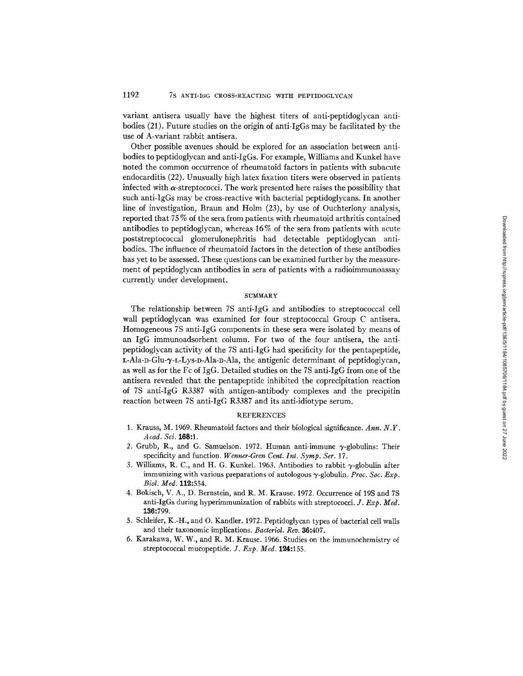variant antisera usually have the highest titers of anti-peptidoglycan antibodies (21). Future studies on the origin of anti-IgGs may be facilitated by the use of A-variant rabbit antisera.

Other possible avenues should be explored for an association between antibodies to peptidoglycan and anti-IgGs. For example, Williams and Kunkel have noted the common occurrence of rheumatoid factors in patients with subacute endocarditis (22). Unusually high latex fixation titers were observed in patients infected with  $\alpha$ -streptococci. The work presented here raises the possibility that such anti-IgGs may be cross-reactive with bacterial peptidoglycans. In another line of investigation, Braun and Hohn (23), by use of Ouchterlony analysis, reported that 75 % of the sera from patients with rheumatoid arthritis contained antibodies to peptidoglycan, whereas 16% of the sera from patients with acute poststreptococcal glomerulonephritis had detectable peptidoglycan antibodies. The influence of rheumatoid factors in the detection of these antibodies has yet to be assessed. These questions can be examined further by the measurement of peptidoglycan antibodies in sera of patients with a radioimmunoassay currently under development.

#### **SUMMARY**

The relationship between 7S anti-IgG and antibodies to streptococcal cell wall peptidoglycan was examined for four streptococcal Group C antisera. Homogeneous 7S anti-IgG components in these sera were isolated by means of an IgG immunoadsorbent column. For two of the four antisera, the antipeptidoglycan activity of the 7S anti-IgG had specificity for the pentapeptide,  $L$ -Ala-D-Glu- $\gamma$ -L-Lys-D-Ala-D-Ala, the antigenic determinant of peptidoglycan, as well as for the Fc of IgG. Detailed studies on the 7S anti-IgG from one of the antisera revealed that the pentapeptide inhibited the coprecipitation reaction of 7S anti-IgG R3387 with antigen-antibody complexes and the precipitin reaction between 7S anti-IgG R3387 and its anti-idiotype serum.

#### **REFERENCES**

- 1. Krauss, M. 1969. Rheumatoid factors and their biological significance. *Ann. N.Y. Acad. Sci.* 168:1.
- 2. Grubb, R., and G. Samuelson. 1972. Human anti-immune  $\gamma$ -globulins: Their specificity and function. *Wenner-Gren Cent. Int. Symp. Ser.* 17.
- 3. Williams, R. C., and H. G. Kunkel. 1963. Antibodies to rabbit  $\gamma$ -globulin after immunizing with various preparations of autologous  $\gamma$ -globulin. *Proc. Soc. Exp. Biol. Med.* 119.:554.
- 4. Bokisch, V. A., D. Bernstein, and R. M. Krause. 1972. Occurrence of 19S and 7S anti-IgGs during hyperimmunization of rabbits with streptococci. *J. Exp. Med.*  136:799.
- 5. Schleifer, K.-H., and O. Kandler. 1972. Peptidoglycan types of bacterial cell walls and their taxonomic implications. *Bacteriol. Rev.* 36:407.
- 6. Karakawa, W. W., and R. M. Krause. 1966. Studies on the immunochemistry of streptococcal mucopeptide. *J. Exp. Med.* 124:155.